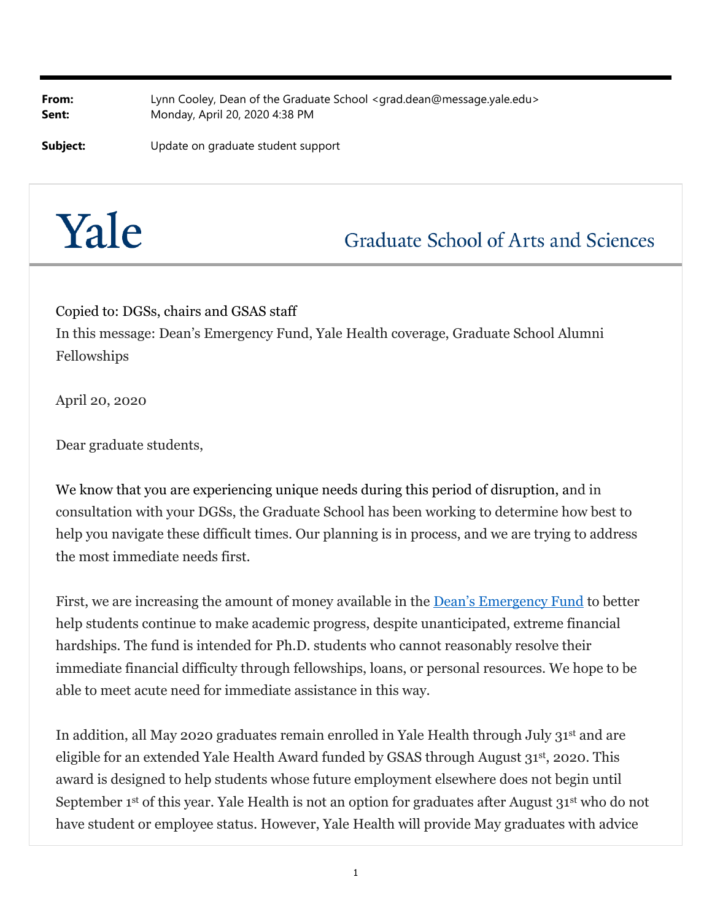**From:** Lynn Cooley, Dean of the Graduate School <grad.dean@message.yale.edu> **Sent:** Monday, April 20, 2020 4:38 PM

**Subject:** Update on graduate student support



**Graduate School of Arts and Sciences** 

Copied to: DGSs, chairs and GSAS staff

In this message: Dean's Emergency Fund, Yale Health coverage, Graduate School Alumni Fellowships

April 20, 2020

Dear graduate students,

We know that you are experiencing unique needs during this period of disruption, and in consultation with your DGSs, the Graduate School has been working to determine how best to help you navigate these difficult times. Our planning is in process, and we are trying to address the most immediate needs first.

First, we are increasing the amount of money available in the Dean's Emergency Fund to better help students continue to make academic progress, despite unanticipated, extreme financial hardships. The fund is intended for Ph.D. students who cannot reasonably resolve their immediate financial difficulty through fellowships, loans, or personal resources. We hope to be able to meet acute need for immediate assistance in this way.

In addition, all May 2020 graduates remain enrolled in Yale Health through July 31st and are eligible for an extended Yale Health Award funded by GSAS through August 31st, 2020. This award is designed to help students whose future employment elsewhere does not begin until September 1<sup>st</sup> of this year. Yale Health is not an option for graduates after August 31<sup>st</sup> who do not have student or employee status. However, Yale Health will provide May graduates with advice